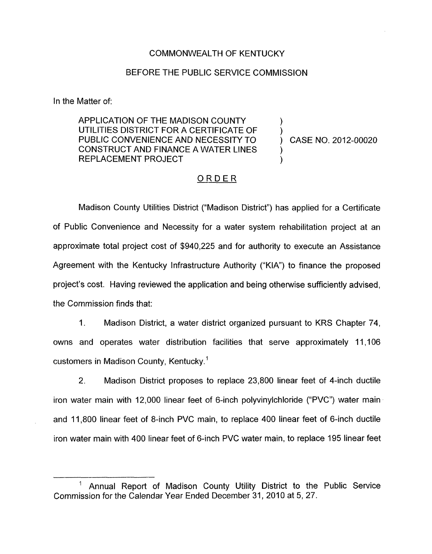## COMMONWEALTH OF KENTUCKY

## BEFORE THE PUBLIC SERVICE COMMISSION

In the Matter of:

APPLICATION OF THE MADISON COUNTY UTILITIES DISTRICT FOR A CERTIFICATE OF ) PUBLIC CONVENIENCE AND NECESSITY TO  $\overrightarrow{)}$  CASE NO. 2012-00020 CONSTRUCT AND FINANCE A WATER LINES REPLACEMENT PROJECT

## ORDER

Madison County Utilities District ("Madison District") has applied for a Certificate of Public Convenience and Necessity for a water system rehabilitation project at an approximate total project cost of \$940,225 and for authority to execute an Assistance Agreement with the Kentucky Infrastructure Authority ("KIA") to finance the proposed project's cost. Having reviewed the application and being otherwise sufficiently advised, the Commission finds that:

1. Madison District, a water district organized pursuant to KRS Chapter 74, owns and operates water distribution facilities that serve approximately 11,106 customers in Madison County, Kentucky.'

2. Madison District proposes to replace 23,800 linear feet of 4-inch ductile iron water main with 12,000 linear feet of 6-inch polyvinylchloride ("PVC") water main and 11,800 linear feet of 8-inch PVC main, to replace 400 linear feet of 6-inch ductile iron water main with 400 linear feet of 6-inch PVC water main, to replace 195 linear feet

Annual Report of Madison County Utility District to the Public Service Commission for the Calendar Year Ended December 31, 2010 at 5, 27.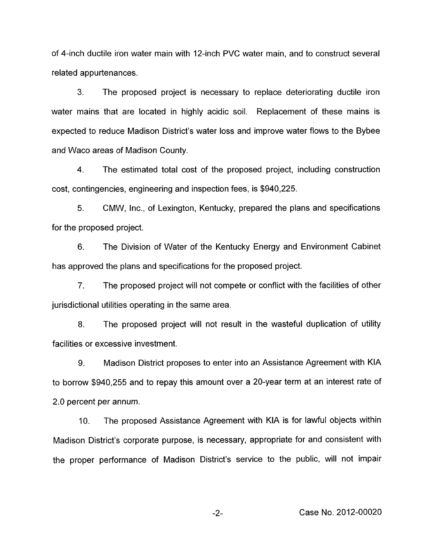of 4-inch ductile iron water main with 12-inch PVC water main, and to construct several related appurtenances.

**3.** The proposed project is necessary to replace deteriorating ductile iron water mains that are located in highly acidic soil. Replacement of these mains is expected to reduce Madison District's water loss and improve water flows to the Bybee and Wac0 areas of Madison County.

4. The estimated total cost of the proposed project, including construction cost, contingencies, engineering and inspection fees, is \$940,225.

5. CMW, Inc., of Lexington, Kentucky, prepared the plans and specifications for the proposed project.

6. The Division of Water of the Kentucky Energy and Environment Cabinet has approved the plans and specifications for the proposed project.

*7.* The proposed project will not compete or conflict with the facilities of other jurisdictional utilities operating in the same area.

**8.** The proposed project will not result in the wasteful duplication of utility facilities or excessive investment.

9. Madison District proposes to enter into an Assistance Agreement with KIA to borrow \$940,255 and to repay this amount over a 20-year term at an interest rate of 2.0 percent per annum.

IO. The proposed Assistance Agreement with KIA is for lawful objects within Madison District's corporate purpose, is necessary, appropriate for and consistent with the proper performance of Madison District's service to the public, will not impair

-2- Case No. 2012-00020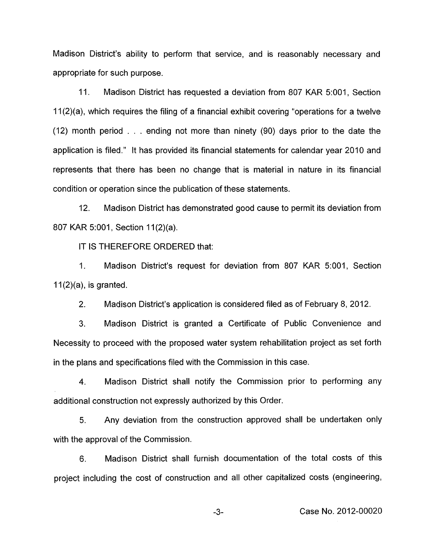Madison District's ability to perform that service, and is reasonably necessary and appropriate for such purpose.

11. Madison District has requested a deviation from 807 KAR 5:001, Section 11 (2)(a), which requires the filing of a financial exhibit covering "operations for a twelve (12) month period . . . ending not more than ninety (90) days prior to the date the application is filed." It has provided its financial statements for calendar year 2010 and represents that there has been no change that is material in nature in its financial condition or operation since the publication of these statements.

12. Madison District has demonstrated good cause to permit its deviation from 807 KAR 5:001, Section 11(2)(a).

IT IS THEREFORE ORDERED that:

1. Madison District's request for deviation from 807 KAR 5:001, Section  $11(2)(a)$ , is granted.

2. Madison District's application is considered filed as of February 8, 2012.

3. Madison District is granted a Certificate of Public Convenience and Necessity to proceed with the proposed water system rehabilitation project as set forth in the plans and specifications filed with the Commission in this case.

**4.** Madison District shall notify the Commission prior to performing any additional construction not expressly authorized by this Order.

5. Any deviation from the construction approved shall be undertaken only with the approval of the Commission.

Madison District shall furnish documentation of the total costs of this project including the cost of construction and all other capitalized costs (engineering, **6.**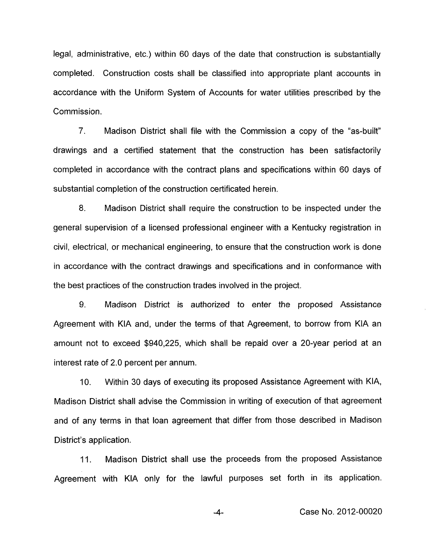legal, administrative, etc.) within 60 days of the date that construction is substantially completed. Construction costs shall be classified into appropriate plant accounts in accordance with the Uniform System of Accounts for water utilities prescribed by the Commission.

7. Madison District shall file with the Commission a copy of the "as-built" drawings and a certified statement that the construction has been satisfactorily completed in accordance with the contract plans and specifications within 60 days of substantial completion of the construction certificated herein.

**8.** Madison District shall require the construction to be inspected under the general supervision of a licensed professional engineer with a Kentucky registration in civil, electrical, or mechanical engineering, to ensure that the construction work is done in accordance with the contract drawings and specifications and in conformance with the best practices of the construction trades involved in the project.

9. Madison District is authorized to enter the proposed Assistance Agreement with KIA and, under the terms of that Agreement, to borrow from KIA an amount not to exceed \$940,225, which shall be repaid over a 20-year period at an interest rate of 2.0 percent per annum.

10. Within 30 days of executing its proposed Assistance Agreement with KIA, Madison District shall advise the Commission in writing of execution of that agreement and of any terms in that loan agreement that differ from those described in Madison District's application.

11. Madison District shall use the proceeds from the proposed Assistance Agreement with KIA only for the lawful purposes set forth in its application.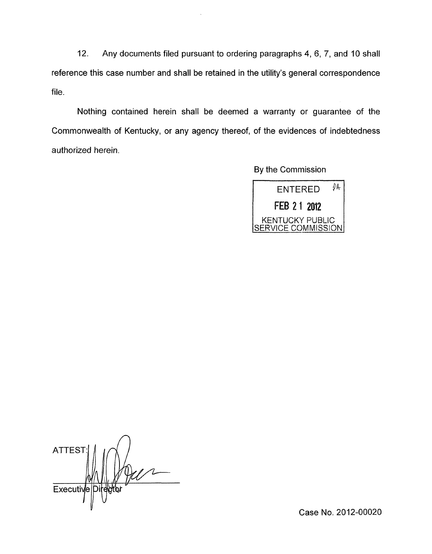12. Any documents filed pursuant to ordering paragraphs **4,** *6,* 7, and IO shall reference this case number and shall be retained in the utility's general correspondence file.

Nothing contained herein shall be deemed a warranty or guarantee of the Commonwealth of Kentucky, or any agency thereof, of the evidences of indebtedness authorized herein.

By the Commission



*n*  **ATTEST** Executiv

Case No. 2012-00020